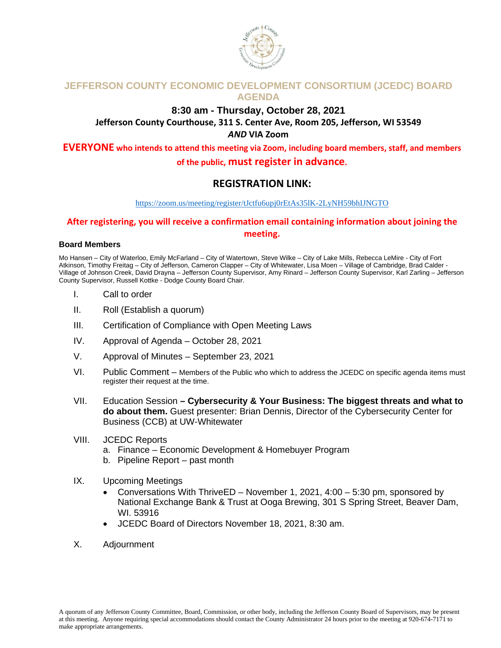

## **JEFFERSON COUNTY ECONOMIC DEVELOPMENT CONSORTIUM (JCEDC) BOARD AGENDA**

### **8:30 am - Thursday, October 28, 2021 Jefferson County Courthouse, 311 S. Center Ave, Room 205, Jefferson, WI 53549** *AND* **VIA Zoom**

**EVERYONE who intends to attend this meeting via Zoom, including board members, staff, and members of the public, must register in advance.** 

## **REGISTRATION LINK:**

#### <https://zoom.us/meeting/register/tJctfu6upj0rEtAs35lK-2LyNH59bhIJNGTO>

## **After registering, you will receive a confirmation email containing information about joining the meeting.**

#### **Board Members**

Mo Hansen – City of Waterloo, Emily McFarland – City of Watertown, Steve Wilke – City of Lake Mills, Rebecca LeMire - City of Fort Atkinson, Timothy Freitag – City of Jefferson, Cameron Clapper – City of Whitewater, Lisa Moen – Village of Cambridge, Brad Calder - Village of Johnson Creek, David Drayna – Jefferson County Supervisor, Amy Rinard – Jefferson County Supervisor, Karl Zarling – Jefferson County Supervisor, Russell Kottke - Dodge County Board Chair.

- I. Call to order
- II. Roll (Establish a quorum)
- III. Certification of Compliance with Open Meeting Laws
- IV. Approval of Agenda October 28, 2021
- V. Approval of Minutes September 23, 2021
- VI. Public Comment Members of the Public who which to address the JCEDC on specific agenda items must register their request at the time.
- VII. Education Session **– Cybersecurity & Your Business: The biggest threats and what to do about them.** Guest presenter: Brian Dennis, Director of the Cybersecurity Center for Business (CCB) at UW-Whitewater
- VIII. JCEDC Reports
	- a. Finance Economic Development & Homebuyer Program
	- b. Pipeline Report past month
- IX. Upcoming Meetings
	- Conversations With ThriveED November 1, 2021, 4:00 5:30 pm, sponsored by National Exchange Bank & Trust at Ooga Brewing, 301 S Spring Street, Beaver Dam, WI. 53916
	- JCEDC Board of Directors November 18, 2021, 8:30 am.
- X. Adjournment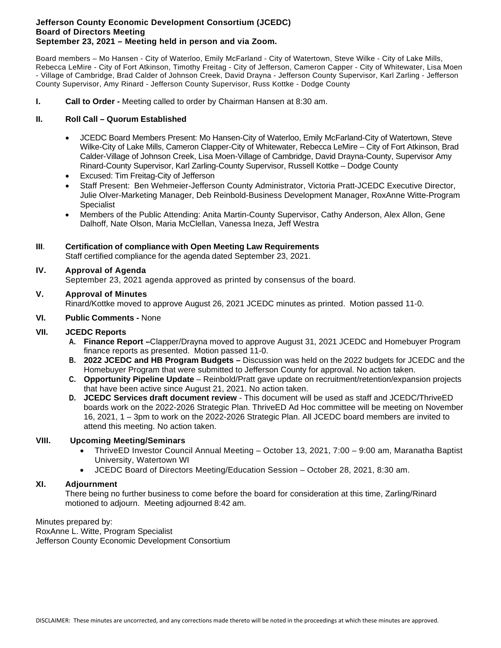#### **Jefferson County Economic Development Consortium (JCEDC) Board of Directors Meeting September 23, 2021 – Meeting held in person and via Zoom.**

Board members – Mo Hansen - City of Waterloo, Emily McFarland - City of Watertown, Steve Wilke - City of Lake Mills, Rebecca LeMire - City of Fort Atkinson, Timothy Freitag - City of Jefferson, Cameron Capper - City of Whitewater, Lisa Moen - Village of Cambridge, Brad Calder of Johnson Creek, David Drayna - Jefferson County Supervisor, Karl Zarling - Jefferson County Supervisor, Amy Rinard - Jefferson County Supervisor, Russ Kottke - Dodge County

**I. Call to Order -** Meeting called to order by Chairman Hansen at 8:30 am.

#### **II. Roll Call – Quorum Established**

- JCEDC Board Members Present: Mo Hansen-City of Waterloo, Emily McFarland-City of Watertown, Steve Wilke-City of Lake Mills, Cameron Clapper-City of Whitewater, Rebecca LeMire – City of Fort Atkinson, Brad Calder-Village of Johnson Creek, Lisa Moen-Village of Cambridge, David Drayna-County, Supervisor Amy Rinard-County Supervisor, Karl Zarling-County Supervisor, Russell Kottke – Dodge County
- Excused: Tim Freitag-City of Jefferson
- Staff Present: Ben Wehmeier-Jefferson County Administrator, Victoria Pratt-JCEDC Executive Director, Julie Olver-Marketing Manager, Deb Reinbold-Business Development Manager, RoxAnne Witte-Program **Specialist**
- Members of the Public Attending: Anita Martin-County Supervisor, Cathy Anderson, Alex Allon, Gene Dalhoff, Nate Olson, Maria McClellan, Vanessa Ineza, Jeff Westra

#### **III**. **Certification of compliance with Open Meeting Law Requirements**

Staff certified compliance for the agenda dated September 23, 2021.

#### **IV. Approval of Agenda**

September 23, 2021 agenda approved as printed by consensus of the board.

#### **V. Approval of Minutes**

Rinard/Kottke moved to approve August 26, 2021 JCEDC minutes as printed. Motion passed 11-0.

#### **VI. Public Comments -** None

#### **VII. JCEDC Reports**

- **A. Finance Report –**Clapper/Drayna moved to approve August 31, 2021 JCEDC and Homebuyer Program finance reports as presented. Motion passed 11-0.
- **B. 2022 JCEDC and HB Program Budgets –** Discussion was held on the 2022 budgets for JCEDC and the Homebuyer Program that were submitted to Jefferson County for approval. No action taken.
- **C. Opportunity Pipeline Update** Reinbold/Pratt gave update on recruitment/retention/expansion projects that have been active since August 21, 2021. No action taken.
- **D. JCEDC Services draft document review** This document will be used as staff and JCEDC/ThriveED boards work on the 2022-2026 Strategic Plan. ThriveED Ad Hoc committee will be meeting on November 16, 2021, 1 – 3pm to work on the 2022-2026 Strategic Plan. All JCEDC board members are invited to attend this meeting. No action taken.

#### **VIII. Upcoming Meeting/Seminars**

- ThriveED Investor Council Annual Meeting October 13, 2021, 7:00 9:00 am, Maranatha Baptist University, Watertown WI
- JCEDC Board of Directors Meeting/Education Session October 28, 2021, 8:30 am.

#### **XI. Adjournment**

There being no further business to come before the board for consideration at this time, Zarling/Rinard motioned to adjourn. Meeting adjourned 8:42 am.

Minutes prepared by: RoxAnne L. Witte, Program Specialist Jefferson County Economic Development Consortium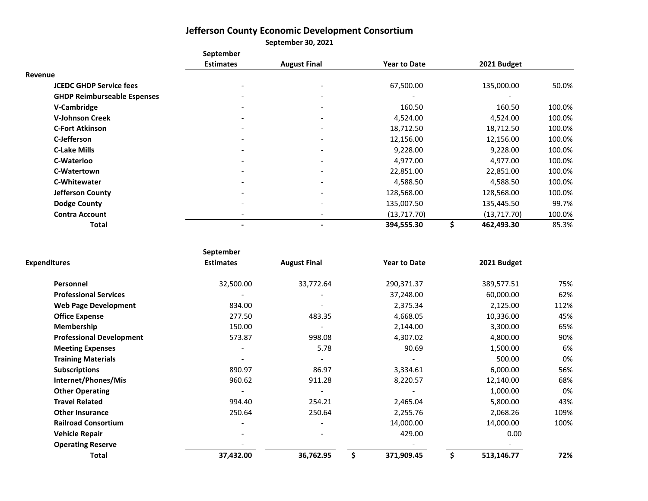# **Jefferson County Economic Development Consortium**

**September 30, 2021**

|                                    | <b>September</b>         |                              |                     |                  |        |
|------------------------------------|--------------------------|------------------------------|---------------------|------------------|--------|
|                                    | <b>Estimates</b>         | <b>August Final</b>          | <b>Year to Date</b> | 2021 Budget      |        |
| Revenue                            |                          |                              |                     |                  |        |
| <b>JCEDC GHDP Service fees</b>     |                          | -                            | 67,500.00           | 135,000.00       | 50.0%  |
| <b>GHDP Reimburseable Espenses</b> |                          | $\qquad \qquad \blacksquare$ |                     |                  |        |
| V-Cambridge                        |                          | $\overline{\phantom{a}}$     | 160.50              | 160.50           | 100.0% |
| <b>V-Johnson Creek</b>             | $\overline{\phantom{0}}$ | $\overline{\phantom{a}}$     | 4,524.00            | 4,524.00         | 100.0% |
| <b>C-Fort Atkinson</b>             |                          | $\overline{\phantom{a}}$     | 18,712.50           | 18,712.50        | 100.0% |
| C-Jefferson                        |                          | $\overline{\phantom{a}}$     | 12,156.00           | 12,156.00        | 100.0% |
| <b>C-Lake Mills</b>                |                          | $\overline{\phantom{0}}$     | 9,228.00            | 9,228.00         | 100.0% |
| C-Waterloo                         |                          | $\overline{\phantom{a}}$     | 4,977.00            | 4,977.00         | 100.0% |
| C-Watertown                        |                          | $\overline{\phantom{a}}$     | 22,851.00           | 22,851.00        | 100.0% |
| <b>C-Whitewater</b>                |                          | $\overline{\phantom{a}}$     | 4,588.50            | 4,588.50         | 100.0% |
| <b>Jefferson County</b>            |                          | -                            | 128,568.00          | 128,568.00       | 100.0% |
| <b>Dodge County</b>                |                          | $\overline{\phantom{a}}$     | 135,007.50          | 135,445.50       | 99.7%  |
| <b>Contra Account</b>              |                          | $\overline{\phantom{a}}$     | (13, 717.70)        | (13, 717.70)     | 100.0% |
| Total                              |                          | $\blacksquare$               | 394,555.30          | \$<br>462,493.30 | 85.3%  |

|                                 | September                |                     |                     |             |      |
|---------------------------------|--------------------------|---------------------|---------------------|-------------|------|
| <b>Expenditures</b>             | <b>Estimates</b>         | <b>August Final</b> | <b>Year to Date</b> | 2021 Budget |      |
| Personnel                       | 32,500.00                | 33,772.64           | 290,371.37          | 389,577.51  | 75%  |
| <b>Professional Services</b>    |                          |                     | 37,248.00           | 60,000.00   | 62%  |
| <b>Web Page Development</b>     | 834.00                   |                     | 2,375.34            | 2,125.00    | 112% |
| <b>Office Expense</b>           | 277.50                   | 483.35              | 4,668.05            | 10,336.00   | 45%  |
| <b>Membership</b>               | 150.00                   |                     | 2,144.00            | 3,300.00    | 65%  |
| <b>Professional Development</b> | 573.87                   | 998.08              | 4,307.02            | 4,800.00    | 90%  |
| <b>Meeting Expenses</b>         |                          | 5.78                | 90.69               | 1,500.00    | 6%   |
| <b>Training Materials</b>       |                          |                     |                     | 500.00      | 0%   |
| <b>Subscriptions</b>            | 890.97                   | 86.97               | 3,334.61            | 6,000.00    | 56%  |
| Internet/Phones/Mis             | 960.62                   | 911.28              | 8,220.57            | 12,140.00   | 68%  |
| <b>Other Operating</b>          |                          |                     |                     | 1,000.00    | 0%   |
| <b>Travel Related</b>           | 994.40                   | 254.21              | 2,465.04            | 5,800.00    | 43%  |
| <b>Other Insurance</b>          | 250.64                   | 250.64              | 2,255.76            | 2,068.26    | 109% |
| <b>Railroad Consortium</b>      | $\overline{\phantom{a}}$ |                     | 14,000.00           | 14,000.00   | 100% |
| <b>Vehicle Repair</b>           |                          |                     | 429.00              | 0.00        |      |
| <b>Operating Reserve</b>        |                          |                     |                     |             |      |
| <b>Total</b>                    | 37,432.00                | 36,762.95           | 371,909.45          | 513,146.77  | 72%  |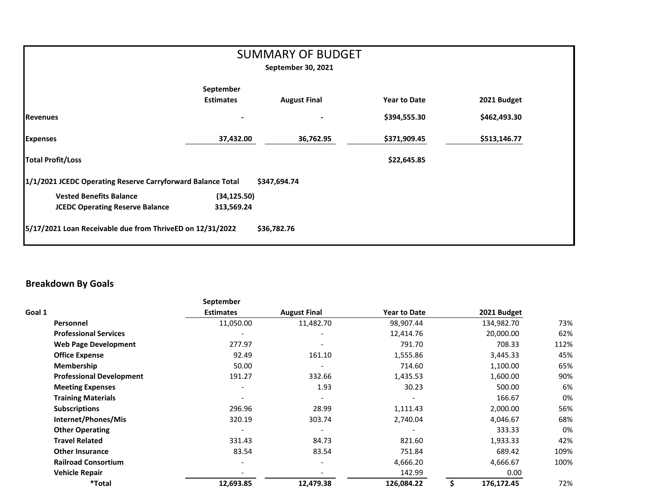| <b>SUMMARY OF BUDGET</b><br>September 30, 2021              |                               |                     |                     |              |  |  |  |
|-------------------------------------------------------------|-------------------------------|---------------------|---------------------|--------------|--|--|--|
|                                                             | September<br><b>Estimates</b> | <b>August Final</b> | <b>Year to Date</b> | 2021 Budget  |  |  |  |
| <b>Revenues</b>                                             |                               |                     | \$394,555.30        | \$462,493.30 |  |  |  |
| <b>Expenses</b>                                             | 37,432.00                     | 36,762.95           | \$371,909.45        | \$513,146.77 |  |  |  |
| <b>Total Profit/Loss</b>                                    |                               |                     | \$22,645.85         |              |  |  |  |
| 1/1/2021 JCEDC Operating Reserve Carryforward Balance Total |                               | \$347,694.74        |                     |              |  |  |  |
| <b>Vested Benefits Balance</b>                              | (34, 125.50)                  |                     |                     |              |  |  |  |
| <b>JCEDC Operating Reserve Balance</b>                      | 313,569.24                    |                     |                     |              |  |  |  |
| 5/17/2021 Loan Receivable due from ThriveED on 12/31/2022   |                               | \$36,782.76         |                     |              |  |  |  |

## **Breakdown By Goals**

|                                 | September        |                          |                     |   |             |      |
|---------------------------------|------------------|--------------------------|---------------------|---|-------------|------|
| Goal 1                          | <b>Estimates</b> | <b>August Final</b>      | <b>Year to Date</b> |   | 2021 Budget |      |
| Personnel                       | 11,050.00        | 11,482.70                | 98,907.44           |   | 134,982.70  | 73%  |
| <b>Professional Services</b>    |                  |                          | 12,414.76           |   | 20,000.00   | 62%  |
| <b>Web Page Development</b>     | 277.97           | $\overline{\phantom{a}}$ | 791.70              |   | 708.33      | 112% |
| <b>Office Expense</b>           | 92.49            | 161.10                   | 1,555.86            |   | 3,445.33    | 45%  |
| <b>Membership</b>               | 50.00            | $\overline{\phantom{a}}$ | 714.60              |   | 1,100.00    | 65%  |
| <b>Professional Development</b> | 191.27           | 332.66                   | 1,435.53            |   | 1,600.00    | 90%  |
| <b>Meeting Expenses</b>         |                  | 1.93                     | 30.23               |   | 500.00      | 6%   |
| <b>Training Materials</b>       |                  |                          |                     |   | 166.67      | 0%   |
| <b>Subscriptions</b>            | 296.96           | 28.99                    | 1,111.43            |   | 2,000.00    | 56%  |
| Internet/Phones/Mis             | 320.19           | 303.74                   | 2,740.04            |   | 4,046.67    | 68%  |
| <b>Other Operating</b>          |                  |                          |                     |   | 333.33      | 0%   |
| <b>Travel Related</b>           | 331.43           | 84.73                    | 821.60              |   | 1,933.33    | 42%  |
| <b>Other Insurance</b>          | 83.54            | 83.54                    | 751.84              |   | 689.42      | 109% |
| <b>Railroad Consortium</b>      |                  | $\overline{a}$           | 4,666.20            |   | 4,666.67    | 100% |
| <b>Vehicle Repair</b>           |                  |                          | 142.99              |   | 0.00        |      |
| <i><b>*Total</b></i>            | 12,693.85        | 12,479.38                | 126,084.22          | Ś | 176,172.45  | 72%  |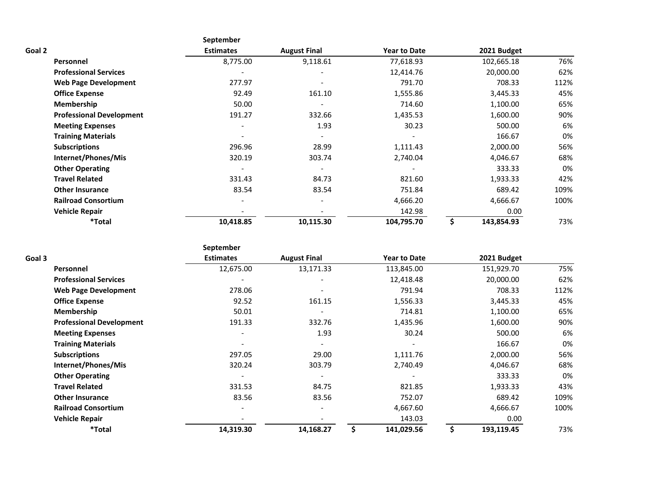|        |                                 | September                |                     |                     |             |      |
|--------|---------------------------------|--------------------------|---------------------|---------------------|-------------|------|
| Goal 2 |                                 | <b>Estimates</b>         | <b>August Final</b> | <b>Year to Date</b> | 2021 Budget |      |
|        | Personnel                       | 8,775.00                 | 9,118.61            | 77,618.93           | 102,665.18  | 76%  |
|        | <b>Professional Services</b>    |                          |                     | 12,414.76           | 20,000.00   | 62%  |
|        | <b>Web Page Development</b>     | 277.97                   |                     | 791.70              | 708.33      | 112% |
|        | <b>Office Expense</b>           | 92.49                    | 161.10              | 1,555.86            | 3,445.33    | 45%  |
|        | <b>Membership</b>               | 50.00                    |                     | 714.60              | 1,100.00    | 65%  |
|        | <b>Professional Development</b> | 191.27                   | 332.66              | 1,435.53            | 1,600.00    | 90%  |
|        | <b>Meeting Expenses</b>         | $\overline{\phantom{a}}$ | 1.93                | 30.23               | 500.00      | 6%   |
|        | <b>Training Materials</b>       |                          |                     |                     | 166.67      | 0%   |
|        | <b>Subscriptions</b>            | 296.96                   | 28.99               | 1,111.43            | 2,000.00    | 56%  |
|        | Internet/Phones/Mis             | 320.19                   | 303.74              | 2,740.04            | 4,046.67    | 68%  |
|        | <b>Other Operating</b>          | $\overline{\phantom{a}}$ |                     |                     | 333.33      | 0%   |
|        | <b>Travel Related</b>           | 331.43                   | 84.73               | 821.60              | 1,933.33    | 42%  |
|        | <b>Other Insurance</b>          | 83.54                    | 83.54               | 751.84              | 689.42      | 109% |
|        | <b>Railroad Consortium</b>      |                          |                     | 4,666.20            | 4,666.67    | 100% |
|        | <b>Vehicle Repair</b>           |                          |                     | 142.98              | 0.00        |      |
|        | *Total                          | 10,418.85                | 10,115.30           | 104,795.70          | 143,854.93  | 73%  |

|                                 | September                |                              |    |                     |             |      |
|---------------------------------|--------------------------|------------------------------|----|---------------------|-------------|------|
| Goal 3                          | <b>Estimates</b>         | <b>August Final</b>          |    | <b>Year to Date</b> | 2021 Budget |      |
| Personnel                       | 12,675.00                | 13,171.33                    |    | 113,845.00          | 151,929.70  | 75%  |
| <b>Professional Services</b>    |                          |                              |    | 12,418.48           | 20,000.00   | 62%  |
| <b>Web Page Development</b>     | 278.06                   |                              |    | 791.94              | 708.33      | 112% |
| <b>Office Expense</b>           | 92.52                    | 161.15                       |    | 1,556.33            | 3,445.33    | 45%  |
| Membership                      | 50.01                    | $\qquad \qquad \blacksquare$ |    | 714.81              | 1,100.00    | 65%  |
| <b>Professional Development</b> | 191.33                   | 332.76                       |    | 1,435.96            | 1,600.00    | 90%  |
| <b>Meeting Expenses</b>         |                          | 1.93                         |    | 30.24               | 500.00      | 6%   |
| <b>Training Materials</b>       |                          |                              |    |                     | 166.67      | 0%   |
| <b>Subscriptions</b>            | 297.05                   | 29.00                        |    | 1,111.76            | 2,000.00    | 56%  |
| Internet/Phones/Mis             | 320.24                   | 303.79                       |    | 2,740.49            | 4,046.67    | 68%  |
| <b>Other Operating</b>          |                          |                              |    |                     | 333.33      | 0%   |
| <b>Travel Related</b>           | 331.53                   | 84.75                        |    | 821.85              | 1,933.33    | 43%  |
| <b>Other Insurance</b>          | 83.56                    | 83.56                        |    | 752.07              | 689.42      | 109% |
| <b>Railroad Consortium</b>      | $\overline{\phantom{a}}$ | $\overline{\phantom{a}}$     |    | 4,667.60            | 4,666.67    | 100% |
| <b>Vehicle Repair</b>           |                          |                              |    | 143.03              | 0.00        |      |
| *Total                          | 14,319.30                | 14,168.27                    | Ś. | 141,029.56          | 193,119.45  | 73%  |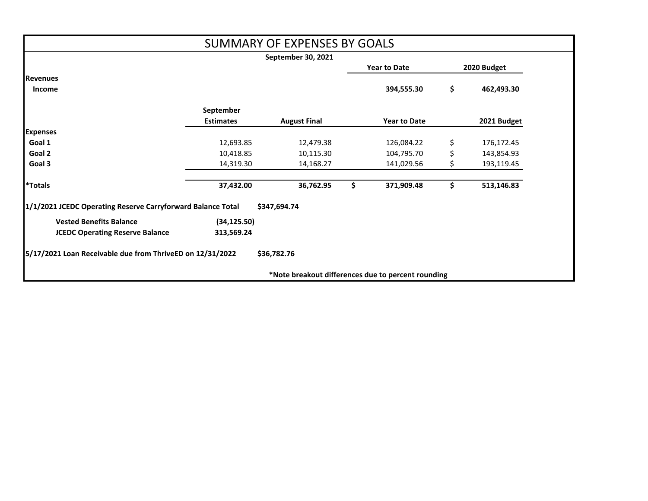|                                                             |                                    | <b>SUMMARY OF EXPENSES BY GOALS</b>                |     |                     |    |             |
|-------------------------------------------------------------|------------------------------------|----------------------------------------------------|-----|---------------------|----|-------------|
|                                                             |                                    | September 30, 2021                                 |     |                     |    |             |
|                                                             | <b>Year to Date</b><br>2020 Budget |                                                    |     |                     |    |             |
| <b>Revenues</b>                                             |                                    |                                                    |     |                     |    |             |
| <b>Income</b>                                               |                                    |                                                    |     | 394,555.30          | \$ | 462,493.30  |
|                                                             | September                          |                                                    |     |                     |    |             |
|                                                             | <b>Estimates</b>                   | <b>August Final</b>                                |     | <b>Year to Date</b> |    | 2021 Budget |
| <b>Expenses</b>                                             |                                    |                                                    |     |                     |    |             |
| Goal 1                                                      | 12,693.85                          | 12,479.38                                          |     | 126,084.22          | \$ | 176,172.45  |
| Goal 2                                                      | 10,418.85                          | 10,115.30                                          |     | 104,795.70          | \$ | 143,854.93  |
| Goal 3                                                      | 14,319.30                          | 14,168.27                                          |     | 141,029.56          | \$ | 193,119.45  |
| <b>*Totals</b>                                              | 37,432.00                          | 36,762.95                                          | \$. | 371,909.48          | \$ | 513,146.83  |
| 1/1/2021 JCEDC Operating Reserve Carryforward Balance Total |                                    | \$347,694.74                                       |     |                     |    |             |
| <b>Vested Benefits Balance</b>                              | (34, 125.50)                       |                                                    |     |                     |    |             |
| <b>JCEDC Operating Reserve Balance</b>                      | 313,569.24                         |                                                    |     |                     |    |             |
| 5/17/2021 Loan Receivable due from ThriveED on 12/31/2022   |                                    | \$36,782.76                                        |     |                     |    |             |
|                                                             |                                    | *Note breakout differences due to percent rounding |     |                     |    |             |